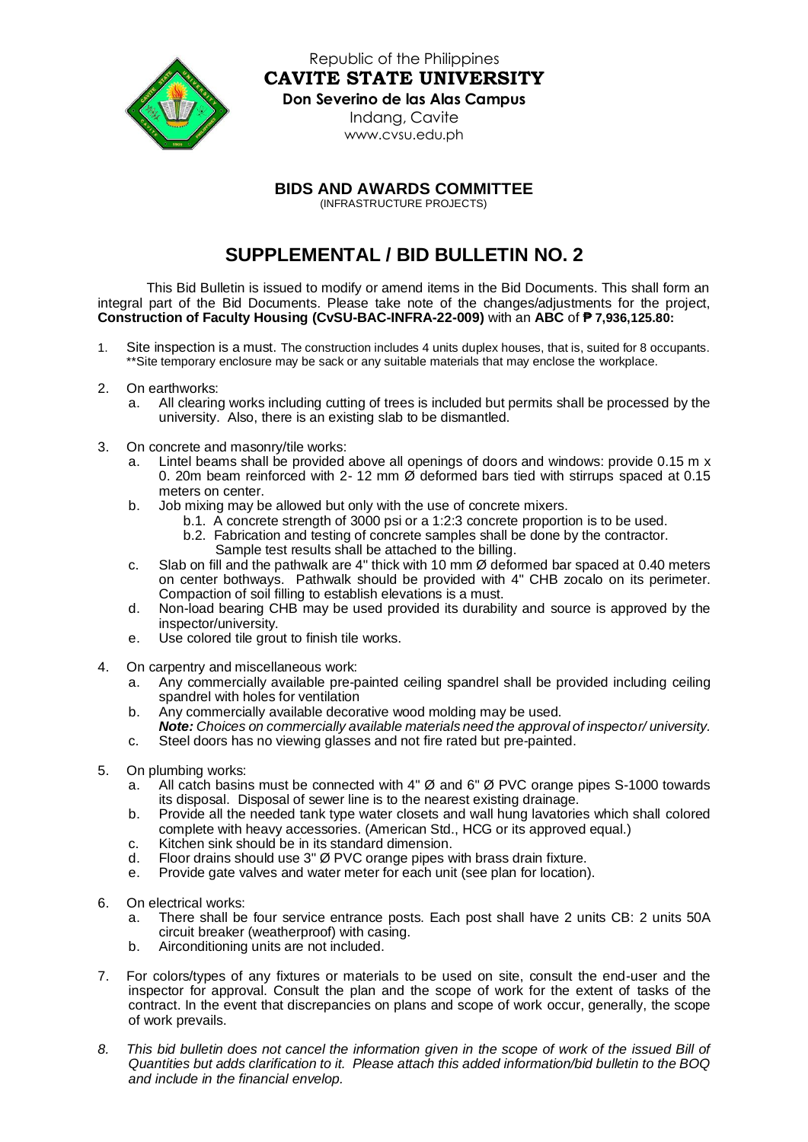

Republic of the Philippines **CAVITE STATE UNIVERSITY**

## **Don Severino de las Alas Campus**

Indang, Cavite [www.cvsu.edu.ph](http://www.cvsu.edu.ph/)

## **BIDS AND AWARDS COMMITTEE**

(INFRASTRUCTURE PROJECTS)

## **SUPPLEMENTAL / BID BULLETIN NO. 2**

This Bid Bulletin is issued to modify or amend items in the Bid Documents. This shall form an integral part of the Bid Documents. Please take note of the changes/adjustments for the project, **Construction of Faculty Housing (CvSU-BAC-INFRA-22-009)** with an **ABC** of **₱ 7,936,125.80:**

- 1. Site inspection is a must. The construction includes 4 units duplex houses, that is, suited for 8 occupants. \*\*Site temporary enclosure may be sack or any suitable materials that may enclose the workplace.
- 2. On earthworks:
	- a. All clearing works including cutting of trees is included but permits shall be processed by the university. Also, there is an existing slab to be dismantled.
- 3. On concrete and masonry/tile works:
	- Lintel beams shall be provided above all openings of doors and windows: provide 0.15 m x 0. 20m beam reinforced with 2-12 mm  $\varnothing$  deformed bars tied with stirrups spaced at 0.15 meters on center.
	- b. Job mixing may be allowed but only with the use of concrete mixers.
		- b.1. A concrete strength of 3000 psi or a 1:2:3 concrete proportion is to be used.
		- b.2. Fabrication and testing of concrete samples shall be done by the contractor.
			- Sample test results shall be attached to the billing.
	- c. Slab on fill and the pathwalk are 4" thick with 10 mm Ø deformed bar spaced at 0.40 meters on center bothways. Pathwalk should be provided with 4" CHB zocalo on its perimeter. Compaction of soil filling to establish elevations is a must.
	- d. Non-load bearing CHB may be used provided its durability and source is approved by the inspector/university.
	- e. Use colored tile grout to finish tile works.
- 4. On carpentry and miscellaneous work:
	- a. Any commercially available pre-painted ceiling spandrel shall be provided including ceiling spandrel with holes for ventilation
	- b. Any commercially available decorative wood molding may be used. *Note: Choices on commercially available materials need the approval of inspector/ university.*
	- c. Steel doors has no viewing glasses and not fire rated but pre-painted.
- 5. On plumbing works:
	- a. All catch basins must be connected with 4" Ø and 6" Ø PVC orange pipes S-1000 towards its disposal. Disposal of sewer line is to the nearest existing drainage.
	- b. Provide all the needed tank type water closets and wall hung lavatories which shall colored complete with heavy accessories. (American Std., HCG or its approved equal.)
	- c. Kitchen sink should be in its standard dimension.
	- d. Floor drains should use 3" Ø PVC orange pipes with brass drain fixture.
	- e. Provide gate valves and water meter for each unit (see plan for location).
- 6. On electrical works:
	- a. There shall be four service entrance posts. Each post shall have 2 units CB: 2 units 50A circuit breaker (weatherproof) with casing.
	- b. Airconditioning units are not included.
- 7. For colors/types of any fixtures or materials to be used on site, consult the end-user and the inspector for approval. Consult the plan and the scope of work for the extent of tasks of the contract. In the event that discrepancies on plans and scope of work occur, generally, the scope of work prevails.
- *8. This bid bulletin does not cancel the information given in the scope of work of the issued Bill of Quantities but adds clarification to it. Please attach this added information/bid bulletin to the BOQ and include in the financial envelop.*